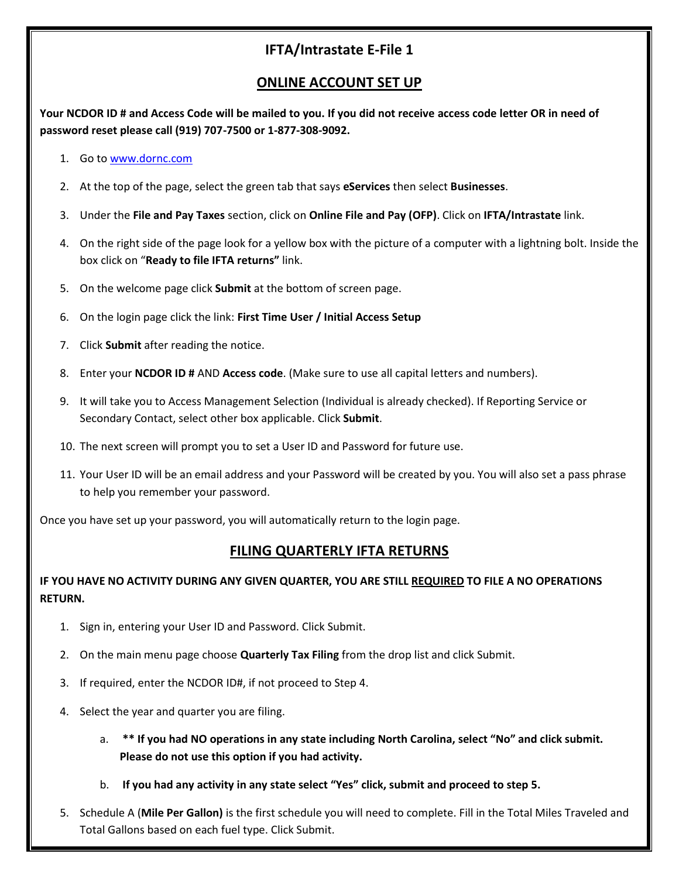# **IFTA/Intrastate E-File 1**

## **ONLINE ACCOUNT SET UP**

**Your NCDOR ID # and Access Code will be mailed to you. If you did not receive access code letter OR in need of password reset please call (919) 707-7500 or 1-877-308-9092.**

- 1. Go to [www.dornc.com](http://www.dornc.com/)
- 2. At the top of the page, select the green tab that says **eServices** then select **Businesses**.
- 3. Under the **File and Pay Taxes** section, click on **Online File and Pay (OFP)**. Click on **IFTA/Intrastate** link.
- 4. On the right side of the page look for a yellow box with the picture of a computer with a lightning bolt. Inside the box click on "**Ready to file IFTA returns"** link.
- 5. On the welcome page click **Submit** at the bottom of screen page.
- 6. On the login page click the link: **First Time User / Initial Access Setup**
- 7. Click **Submit** after reading the notice.
- 8. Enter your **NCDOR ID #** AND **Access code**. (Make sure to use all capital letters and numbers).
- 9. It will take you to Access Management Selection (Individual is already checked). If Reporting Service or Secondary Contact, select other box applicable. Click **Submit**.
- 10. The next screen will prompt you to set a User ID and Password for future use.
- 11. Your User ID will be an email address and your Password will be created by you. You will also set a pass phrase to help you remember your password.

Once you have set up your password, you will automatically return to the login page.

#### **FILING QUARTERLY IFTA RETURNS**

#### **IF YOU HAVE NO ACTIVITY DURING ANY GIVEN QUARTER, YOU ARE STILL REQUIRED TO FILE A NO OPERATIONS RETURN.**

- 1. Sign in, entering your User ID and Password. Click Submit.
- 2. On the main menu page choose **Quarterly Tax Filing** from the drop list and click Submit.
- 3. If required, enter the NCDOR ID#, if not proceed to Step 4.
- 4. Select the year and quarter you are filing.
	- a. **\*\* If you had NO operations in any state including North Carolina, select "No" and click submit. Please do not use this option if you had activity.**
	- b. **If you had any activity in any state select "Yes" click, submit and proceed to step 5.**
- 5. Schedule A (**Mile Per Gallon)** is the first schedule you will need to complete. Fill in the Total Miles Traveled and Total Gallons based on each fuel type. Click Submit.